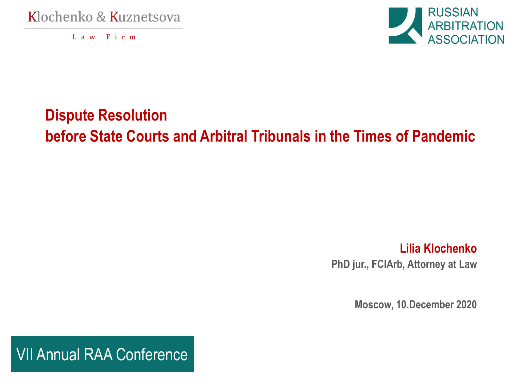Klochenko & Kuznetsova

Law Firm



## **Dispute Resolution before State Courts and Arbitral Tribunals in the Times of Pandemic**

**Lilia Klochenko PhD jur., FCIArb, Attorney at Law**

**Moscow, 10.December 2020**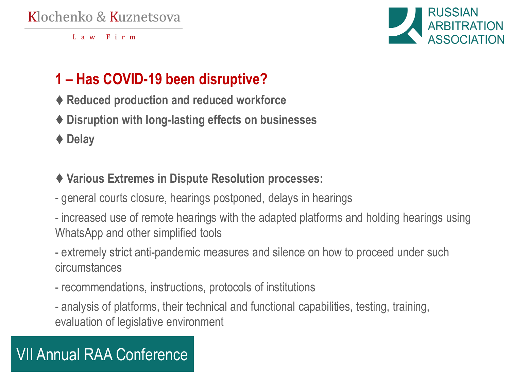#### Klochenko & Kuznetsova

Law Firm



## **1 – Has COVID-19 been disruptive?**

- ♦ **Reduced production and reduced workforce**
- ♦ **Disruption with long-lasting effects on businesses**
- ♦ **Delay**
- ♦ **Various Extremes in Dispute Resolution processes:**
- general courts closure, hearings postponed, delays in hearings
- increased use of remote hearings with the adapted platforms and holding hearings using WhatsApp and other simplified tools
- extremely strict anti-pandemic measures and silence on how to proceed under such circumstances
- recommendations, instructions, protocols of institutions
- analysis of platforms, their technical and functional capabilities, testing, training, evaluation of legislative environment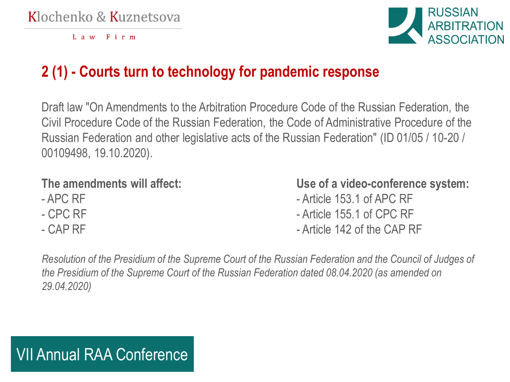

## **2 (1) - Courts turn to technology for pandemic response**

Draft law "On Amendments to the Arbitration Procedure Code of the Russian Federation, the Civil Procedure Code of the Russian Federation, the Code of Administrative Procedure of the Russian Federation and other legislative acts of the Russian Federation" (ID 01/05 / 10-20 / 00109498, 19.10.2020).

- 
- 
- 

**The amendments will affect: Use of a video-conference system:**

- APC RF Article 153.1 of APC RF
- CPC RF CPC RF
- CAP RF  $\overline{C}$  CAP RF

*Resolution of the Presidium of the Supreme Court of the Russian Federation and the Council of Judges of the Presidium of the Supreme Court of the Russian Federation dated 08.04.2020 (as amended on 29.04.2020)*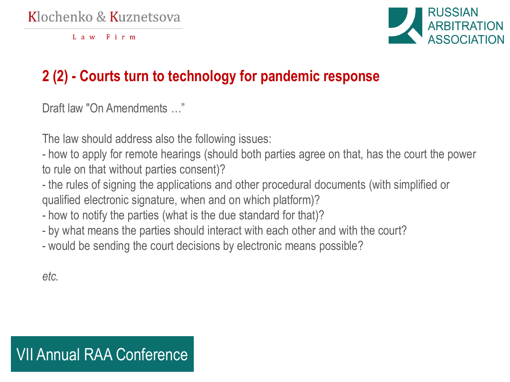

## **2 (2) - Courts turn to technology for pandemic response**

Draft law "On Amendments …"

The law should address also the following issues:

- how to apply for remote hearings (should both parties agree on that, has the court the power to rule on that without parties consent)?

- the rules of signing the applications and other procedural documents (with simplified or qualified electronic signature, when and on which platform)?

- how to notify the parties (what is the due standard for that)?
- by what means the parties should interact with each other and with the court?
- would be sending the court decisions by electronic means possible?

*etc.*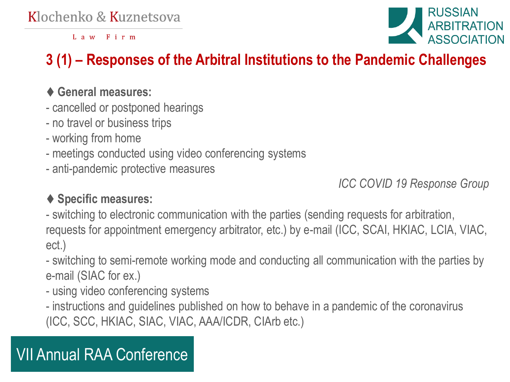

## **3 (1) – Responses of the Arbitral Institutions to the Pandemic Challenges**

#### ♦ **General measures:**

- cancelled or postponed hearings
- no travel or business trips
- working from home
- meetings conducted using video conferencing systems
- anti-pandemic protective measures

*ICC COVID 19 Response Group*

### ♦ **Specific measures:**

- switching to electronic communication with the parties (sending requests for arbitration, requests for appointment emergency arbitrator, etc.) by e-mail (ICC, SCAI, HKIAC, LCIA, VIAC, ect.)

- switching to semi-remote working mode and conducting all communication with the parties by e-mail (SIAC for ex.)

- using video conferencing systems

- instructions and guidelines published on how to behave in a pandemic of the coronavirus (ICC, SCC, HKIAC, SIAC, VIAC, AAA/ICDR, CIArb etc.)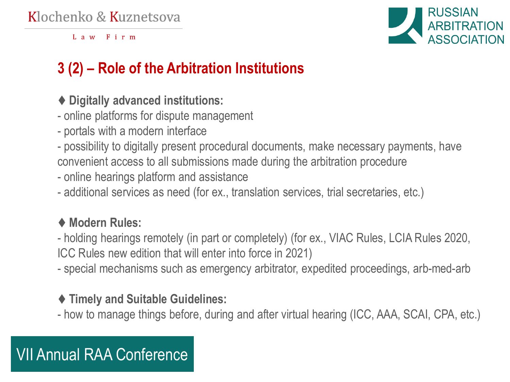

## **3 (2) – Role of the Arbitration Institutions**

- ♦ **Digitally advanced institutions:**
- online platforms for dispute management
- portals with a modern interface
- possibility to digitally present procedural documents, make necessary payments, have convenient access to all submissions made during the arbitration procedure
- online hearings platform and assistance
- additional services as need (for ex., translation services, trial secretaries, etc.)

#### ♦ **Modern Rules:**

- holding hearings remotely (in part or completely) (for ex., VIAC Rules, LCIA Rules 2020, ICC Rules new edition that will enter into force in 2021)
- special mechanisms such as emergency arbitrator, expedited proceedings, arb-med-arb

#### ♦ **Timely and Suitable Guidelines:**

- how to manage things before, during and after virtual hearing (ICC, AAA, SCAI, CPA, etc.)